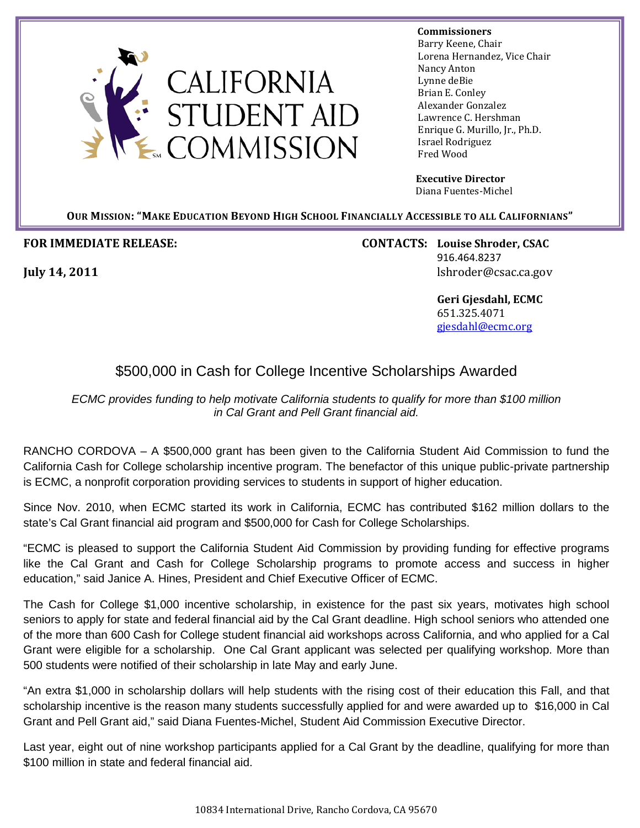

## **Commissioners Commissioners**

 Barry Keene, Chair Lorena Hernandez, Vice Chair Nancy Anton Lynne deBie Brian E. Conley Alexander Gonzalez Lawrence C. Hershman Enrique G. Murillo, Jr., Ph.D. Israel Rodriguez Fred Wood

 **Executive Director** Diana Fuentes-Michel

**OUR MISSION: "MAKE EDUCATION BEYOND HIGH SCHOOL FINANCIALLY ACCESSIBLE TO ALL CALIFORNIANS"**

**FOR IMMEDIATE RELEASE: CONTACTS: Louise Shroder, CSAC** 916.464.8237 **July 14, 2011** lshroder@csac.ca.gov

> **Geri Gjesdahl, ECMC** 651.325.4071 gjesdahl@ecmc.org

## \$500,000 in Cash for College Incentive Scholarships Awarded

*ECMC provides funding to help motivate California students to qualify for more than \$100 million in Cal Grant and Pell Grant financial aid.*

RANCHO CORDOVA – A \$500,000 grant has been given to the California Student Aid Commission to fund the California Cash for College scholarship incentive program. The benefactor of this unique public-private partnership is ECMC, a nonprofit corporation providing services to students in support of higher education.

Since Nov. 2010, when ECMC started its work in California, ECMC has contributed \$162 million dollars to the state's Cal Grant financial aid program and \$500,000 for Cash for College Scholarships.

"ECMC is pleased to support the California Student Aid Commission by providing funding for effective programs like the Cal Grant and Cash for College Scholarship programs to promote access and success in higher education," said Janice A. Hines, President and Chief Executive Officer of ECMC.

The Cash for College \$1,000 incentive scholarship, in existence for the past six years, motivates high school seniors to apply for state and federal financial aid by the Cal Grant deadline. High school seniors who attended one of the more than 600 Cash for College student financial aid workshops across California, and who applied for a Cal Grant were eligible for a scholarship. One Cal Grant applicant was selected per qualifying workshop. More than 500 students were notified of their scholarship in late May and early June.

"An extra \$1,000 in scholarship dollars will help students with the rising cost of their education this Fall, and that scholarship incentive is the reason many students successfully applied for and were awarded up to \$16,000 in Cal Grant and Pell Grant aid," said Diana Fuentes-Michel, Student Aid Commission Executive Director.

Last year, eight out of nine workshop participants applied for a Cal Grant by the deadline, qualifying for more than \$100 million in state and federal financial aid.